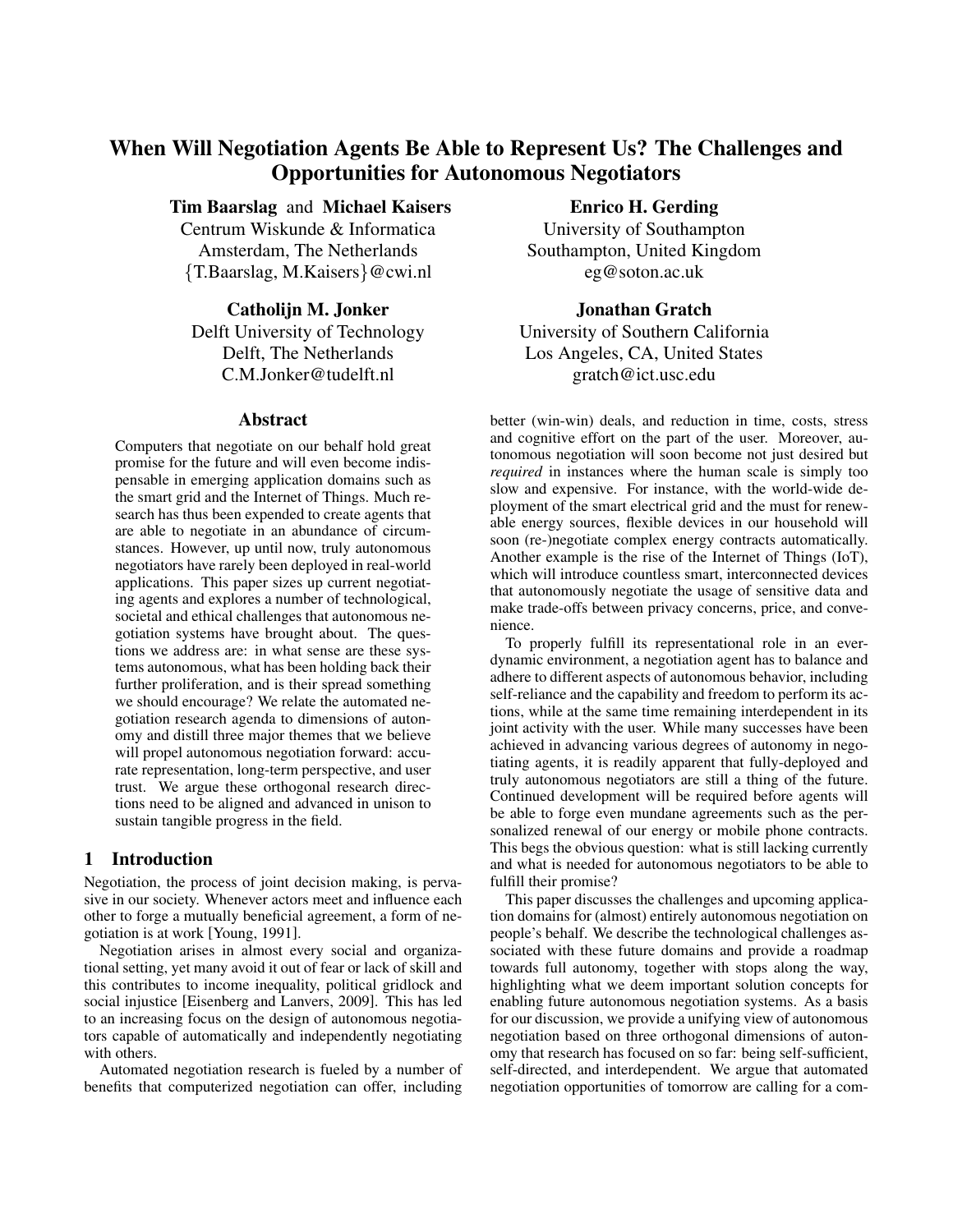# When Will Negotiation Agents Be Able to Represent Us? The Challenges and Opportunities for Autonomous Negotiators

Tim Baarslag and Michael Kaisers

Centrum Wiskunde & Informatica Amsterdam, The Netherlands {T.Baarslag, M.Kaisers}@cwi.nl

## Catholijn M. Jonker Delft University of Technology Delft, The Netherlands C.M.Jonker@tudelft.nl

### Abstract

Computers that negotiate on our behalf hold great promise for the future and will even become indispensable in emerging application domains such as the smart grid and the Internet of Things. Much research has thus been expended to create agents that are able to negotiate in an abundance of circumstances. However, up until now, truly autonomous negotiators have rarely been deployed in real-world applications. This paper sizes up current negotiating agents and explores a number of technological, societal and ethical challenges that autonomous negotiation systems have brought about. The questions we address are: in what sense are these systems autonomous, what has been holding back their further proliferation, and is their spread something we should encourage? We relate the automated negotiation research agenda to dimensions of autonomy and distill three major themes that we believe will propel autonomous negotiation forward: accurate representation, long-term perspective, and user trust. We argue these orthogonal research directions need to be aligned and advanced in unison to sustain tangible progress in the field.

### 1 Introduction

Negotiation, the process of joint decision making, is pervasive in our society. Whenever actors meet and influence each other to forge a mutually beneficial agreement, a form of negotiation is at work [Young, 1991].

Negotiation arises in almost every social and organizational setting, yet many avoid it out of fear or lack of skill and this contributes to income inequality, political gridlock and social injustice [Eisenberg and Lanvers, 2009]. This has led to an increasing focus on the design of autonomous negotiators capable of automatically and independently negotiating with others.

Automated negotiation research is fueled by a number of benefits that computerized negotiation can offer, including

Enrico H. Gerding

University of Southampton Southampton, United Kingdom eg@soton.ac.uk

Jonathan Gratch University of Southern California Los Angeles, CA, United States gratch@ict.usc.edu

better (win-win) deals, and reduction in time, costs, stress and cognitive effort on the part of the user. Moreover, autonomous negotiation will soon become not just desired but *required* in instances where the human scale is simply too slow and expensive. For instance, with the world-wide deployment of the smart electrical grid and the must for renewable energy sources, flexible devices in our household will soon (re-)negotiate complex energy contracts automatically. Another example is the rise of the Internet of Things (IoT), which will introduce countless smart, interconnected devices that autonomously negotiate the usage of sensitive data and make trade-offs between privacy concerns, price, and convenience.

To properly fulfill its representational role in an everdynamic environment, a negotiation agent has to balance and adhere to different aspects of autonomous behavior, including self-reliance and the capability and freedom to perform its actions, while at the same time remaining interdependent in its joint activity with the user. While many successes have been achieved in advancing various degrees of autonomy in negotiating agents, it is readily apparent that fully-deployed and truly autonomous negotiators are still a thing of the future. Continued development will be required before agents will be able to forge even mundane agreements such as the personalized renewal of our energy or mobile phone contracts. This begs the obvious question: what is still lacking currently and what is needed for autonomous negotiators to be able to fulfill their promise?

This paper discusses the challenges and upcoming application domains for (almost) entirely autonomous negotiation on people's behalf. We describe the technological challenges associated with these future domains and provide a roadmap towards full autonomy, together with stops along the way, highlighting what we deem important solution concepts for enabling future autonomous negotiation systems. As a basis for our discussion, we provide a unifying view of autonomous negotiation based on three orthogonal dimensions of autonomy that research has focused on so far: being self-sufficient, self-directed, and interdependent. We argue that automated negotiation opportunities of tomorrow are calling for a com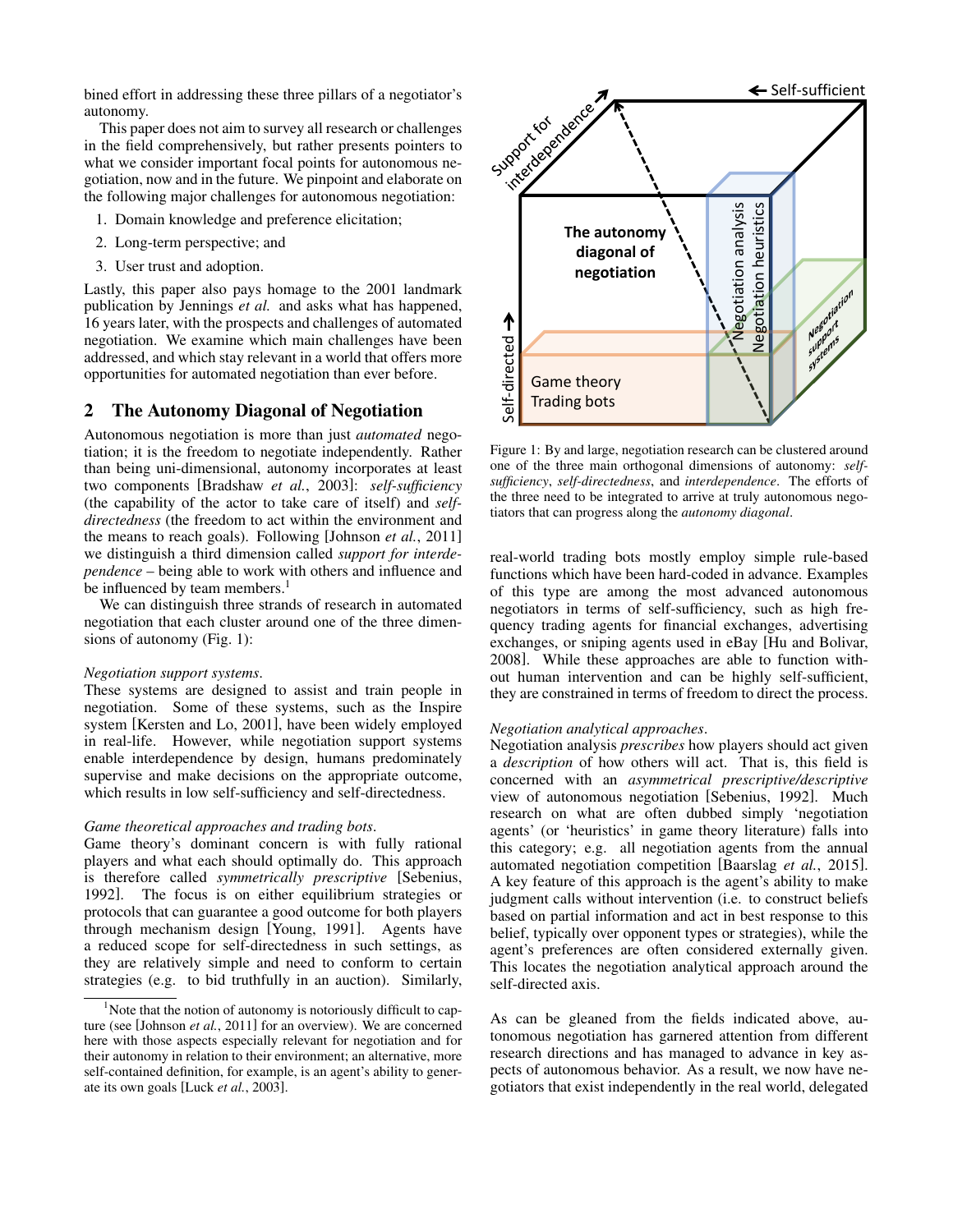bined effort in addressing these three pillars of a negotiator's autonomy.

This paper does not aim to survey all research or challenges in the field comprehensively, but rather presents pointers to what we consider important focal points for autonomous negotiation, now and in the future. We pinpoint and elaborate on the following major challenges for autonomous negotiation:

- 1. Domain knowledge and preference elicitation;
- 2. Long-term perspective; and
- 3. User trust and adoption.

Lastly, this paper also pays homage to the 2001 landmark publication by Jennings *et al.* and asks what has happened, 16 years later, with the prospects and challenges of automated negotiation. We examine which main challenges have been addressed, and which stay relevant in a world that offers more opportunities for automated negotiation than ever before.

### 2 The Autonomy Diagonal of Negotiation

Autonomous negotiation is more than just *automated* negotiation; it is the freedom to negotiate independently. Rather than being uni-dimensional, autonomy incorporates at least two components [Bradshaw *et al.*, 2003]: *self-sufficiency* (the capability of the actor to take care of itself) and *selfdirectedness* (the freedom to act within the environment and the means to reach goals). Following [Johnson *et al.*, 2011] we distinguish a third dimension called *support for interdependence* – being able to work with others and influence and be influenced by team members.<sup>1</sup>

We can distinguish three strands of research in automated negotiation that each cluster around one of the three dimensions of autonomy (Fig. 1):

#### *Negotiation support systems*.

These systems are designed to assist and train people in negotiation. Some of these systems, such as the Inspire system [Kersten and Lo, 2001], have been widely employed in real-life. However, while negotiation support systems enable interdependence by design, humans predominately supervise and make decisions on the appropriate outcome, which results in low self-sufficiency and self-directedness.

#### *Game theoretical approaches and trading bots*.

Game theory's dominant concern is with fully rational players and what each should optimally do. This approach is therefore called *symmetrically prescriptive* [Sebenius, 1992]. The focus is on either equilibrium strategies or protocols that can guarantee a good outcome for both players through mechanism design [Young, 1991]. Agents have a reduced scope for self-directedness in such settings, as they are relatively simple and need to conform to certain strategies (e.g. to bid truthfully in an auction). Similarly,



Figure 1: By and large, negotiation research can be clustered around one of the three main orthogonal dimensions of autonomy: *selfsufficiency*, *self-directedness*, and *interdependence*. The efforts of the three need to be integrated to arrive at truly autonomous negotiators that can progress along the *autonomy diagonal*.

real-world trading bots mostly employ simple rule-based functions which have been hard-coded in advance. Examples of this type are among the most advanced autonomous negotiators in terms of self-sufficiency, such as high frequency trading agents for financial exchanges, advertising exchanges, or sniping agents used in eBay [Hu and Bolivar, 2008]. While these approaches are able to function without human intervention and can be highly self-sufficient, they are constrained in terms of freedom to direct the process.

#### *Negotiation analytical approaches*.

Negotiation analysis *prescribes* how players should act given a *description* of how others will act. That is, this field is concerned with an *asymmetrical prescriptive/descriptive* view of autonomous negotiation [Sebenius, 1992]. Much research on what are often dubbed simply 'negotiation agents' (or 'heuristics' in game theory literature) falls into this category; e.g. all negotiation agents from the annual automated negotiation competition [Baarslag *et al.*, 2015]. A key feature of this approach is the agent's ability to make judgment calls without intervention (i.e. to construct beliefs based on partial information and act in best response to this belief, typically over opponent types or strategies), while the agent's preferences are often considered externally given. This locates the negotiation analytical approach around the self-directed axis.

As can be gleaned from the fields indicated above, autonomous negotiation has garnered attention from different research directions and has managed to advance in key aspects of autonomous behavior. As a result, we now have negotiators that exist independently in the real world, delegated

 $1$ Note that the notion of autonomy is notoriously difficult to capture (see [Johnson *et al.*, 2011] for an overview). We are concerned here with those aspects especially relevant for negotiation and for their autonomy in relation to their environment; an alternative, more self-contained definition, for example, is an agent's ability to generate its own goals [Luck *et al.*, 2003].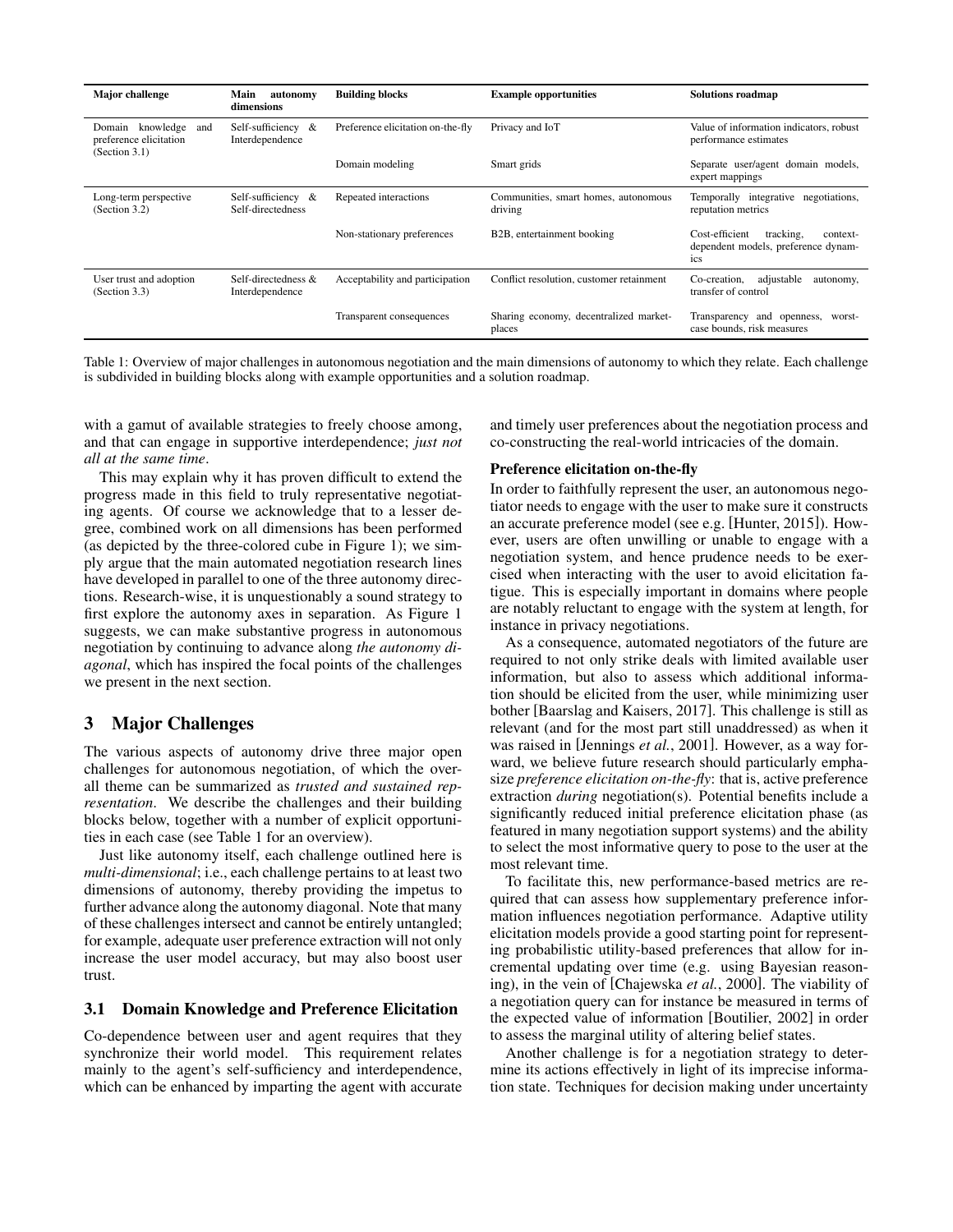| <b>Major challenge</b>                                                | Main<br>autonomy<br>dimensions            | <b>Building blocks</b>            | <b>Example opportunities</b>                     | <b>Solutions roadmap</b>                                                              |
|-----------------------------------------------------------------------|-------------------------------------------|-----------------------------------|--------------------------------------------------|---------------------------------------------------------------------------------------|
| knowledge<br>Domain<br>and<br>preference elicitation<br>(Section 3.1) | Self-sufficiency $\&$<br>Interdependence  | Preference elicitation on-the-fly | Privacy and IoT                                  | Value of information indicators, robust<br>performance estimates                      |
|                                                                       |                                           | Domain modeling                   | Smart grids                                      | Separate user/agent domain models,<br>expert mappings                                 |
| Long-term perspective<br>(Section 3.2)                                | Self-sufficiency &<br>Self-directedness   | Repeated interactions             | Communities, smart homes, autonomous<br>driving  | Temporally integrative negotiations,<br>reputation metrics                            |
|                                                                       |                                           | Non-stationary preferences        | B <sub>2</sub> B, entertainment booking          | Cost-efficient<br>tracking,<br>context-<br>dependent models, preference dynam-<br>ics |
| User trust and adoption<br>(Section 3.3)                              | Self-directedness $\&$<br>Interdependence | Acceptability and participation   | Conflict resolution, customer retainment         | adjustable<br>Co-creation,<br>autonomy,<br>transfer of control                        |
|                                                                       |                                           | Transparent consequences          | Sharing economy, decentralized market-<br>places | Transparency and openness,<br>worst-<br>case bounds, risk measures                    |

Table 1: Overview of major challenges in autonomous negotiation and the main dimensions of autonomy to which they relate. Each challenge is subdivided in building blocks along with example opportunities and a solution roadmap.

with a gamut of available strategies to freely choose among, and that can engage in supportive interdependence; *just not all at the same time*.

This may explain why it has proven difficult to extend the progress made in this field to truly representative negotiating agents. Of course we acknowledge that to a lesser degree, combined work on all dimensions has been performed (as depicted by the three-colored cube in Figure 1); we simply argue that the main automated negotiation research lines have developed in parallel to one of the three autonomy directions. Research-wise, it is unquestionably a sound strategy to first explore the autonomy axes in separation. As Figure 1 suggests, we can make substantive progress in autonomous negotiation by continuing to advance along *the autonomy diagonal*, which has inspired the focal points of the challenges we present in the next section.

### 3 Major Challenges

The various aspects of autonomy drive three major open challenges for autonomous negotiation, of which the overall theme can be summarized as *trusted and sustained representation*. We describe the challenges and their building blocks below, together with a number of explicit opportunities in each case (see Table 1 for an overview).

Just like autonomy itself, each challenge outlined here is *multi-dimensional*; i.e., each challenge pertains to at least two dimensions of autonomy, thereby providing the impetus to further advance along the autonomy diagonal. Note that many of these challenges intersect and cannot be entirely untangled; for example, adequate user preference extraction will not only increase the user model accuracy, but may also boost user trust.

### 3.1 Domain Knowledge and Preference Elicitation

Co-dependence between user and agent requires that they synchronize their world model. This requirement relates mainly to the agent's self-sufficiency and interdependence, which can be enhanced by imparting the agent with accurate and timely user preferences about the negotiation process and co-constructing the real-world intricacies of the domain.

#### Preference elicitation on-the-fly

In order to faithfully represent the user, an autonomous negotiator needs to engage with the user to make sure it constructs an accurate preference model (see e.g. [Hunter, 2015]). However, users are often unwilling or unable to engage with a negotiation system, and hence prudence needs to be exercised when interacting with the user to avoid elicitation fatigue. This is especially important in domains where people are notably reluctant to engage with the system at length, for instance in privacy negotiations.

As a consequence, automated negotiators of the future are required to not only strike deals with limited available user information, but also to assess which additional information should be elicited from the user, while minimizing user bother [Baarslag and Kaisers, 2017]. This challenge is still as relevant (and for the most part still unaddressed) as when it was raised in [Jennings *et al.*, 2001]. However, as a way forward, we believe future research should particularly emphasize *preference elicitation on-the-fly*: that is, active preference extraction *during* negotiation(s). Potential benefits include a significantly reduced initial preference elicitation phase (as featured in many negotiation support systems) and the ability to select the most informative query to pose to the user at the most relevant time.

To facilitate this, new performance-based metrics are required that can assess how supplementary preference information influences negotiation performance. Adaptive utility elicitation models provide a good starting point for representing probabilistic utility-based preferences that allow for incremental updating over time (e.g. using Bayesian reasoning), in the vein of [Chajewska *et al.*, 2000]. The viability of a negotiation query can for instance be measured in terms of the expected value of information [Boutilier, 2002] in order to assess the marginal utility of altering belief states.

Another challenge is for a negotiation strategy to determine its actions effectively in light of its imprecise information state. Techniques for decision making under uncertainty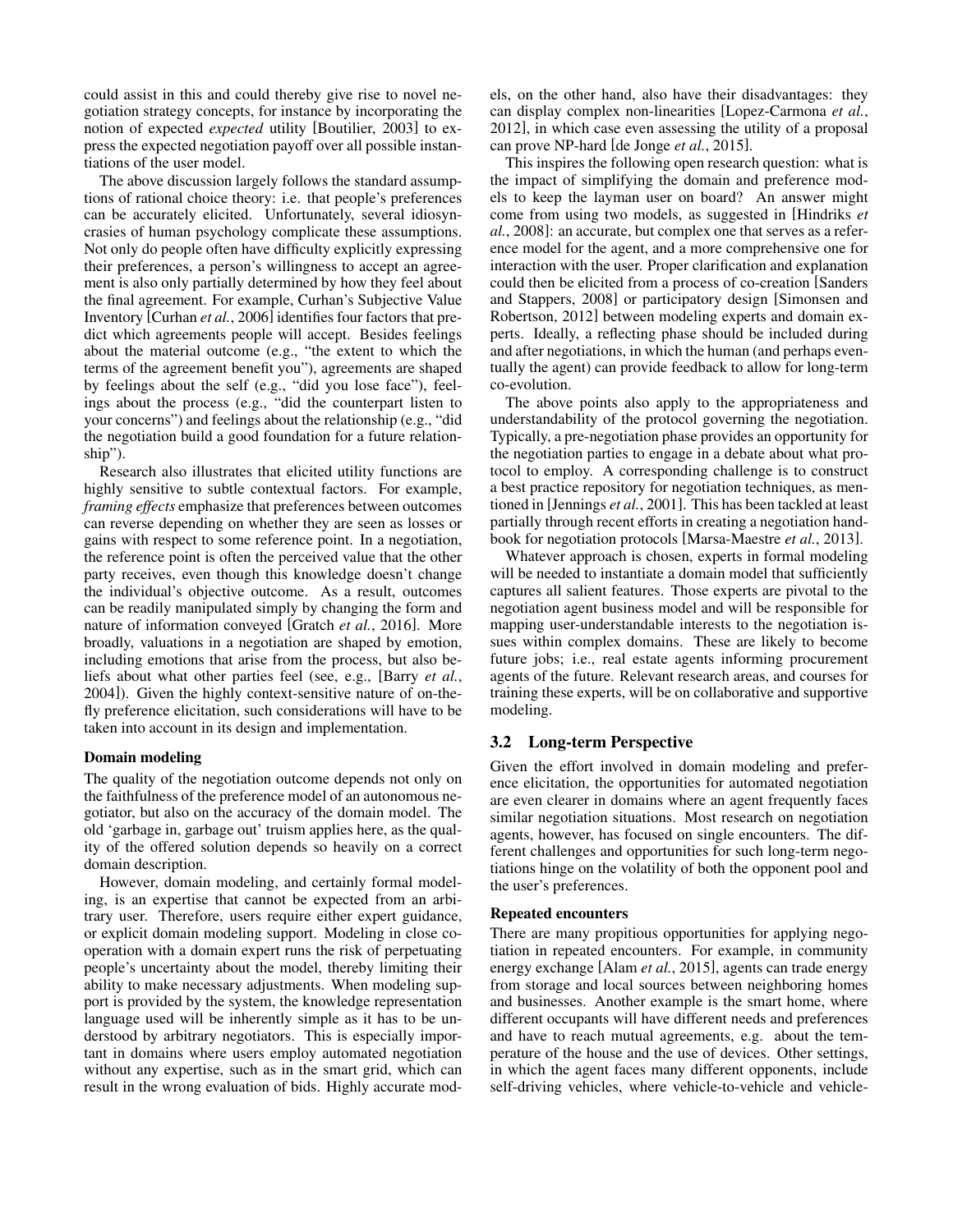could assist in this and could thereby give rise to novel negotiation strategy concepts, for instance by incorporating the notion of expected *expected* utility [Boutilier, 2003] to express the expected negotiation payoff over all possible instantiations of the user model.

The above discussion largely follows the standard assumptions of rational choice theory: i.e. that people's preferences can be accurately elicited. Unfortunately, several idiosyncrasies of human psychology complicate these assumptions. Not only do people often have difficulty explicitly expressing their preferences, a person's willingness to accept an agreement is also only partially determined by how they feel about the final agreement. For example, Curhan's Subjective Value Inventory [Curhan *et al.*, 2006] identifies four factors that predict which agreements people will accept. Besides feelings about the material outcome (e.g., "the extent to which the terms of the agreement benefit you"), agreements are shaped by feelings about the self (e.g., "did you lose face"), feelings about the process (e.g., "did the counterpart listen to your concerns") and feelings about the relationship (e.g., "did the negotiation build a good foundation for a future relationship").

Research also illustrates that elicited utility functions are highly sensitive to subtle contextual factors. For example, *framing effects* emphasize that preferences between outcomes can reverse depending on whether they are seen as losses or gains with respect to some reference point. In a negotiation, the reference point is often the perceived value that the other party receives, even though this knowledge doesn't change the individual's objective outcome. As a result, outcomes can be readily manipulated simply by changing the form and nature of information conveyed [Gratch *et al.*, 2016]. More broadly, valuations in a negotiation are shaped by emotion, including emotions that arise from the process, but also beliefs about what other parties feel (see, e.g., [Barry *et al.*, 2004]). Given the highly context-sensitive nature of on-thefly preference elicitation, such considerations will have to be taken into account in its design and implementation.

#### Domain modeling

The quality of the negotiation outcome depends not only on the faithfulness of the preference model of an autonomous negotiator, but also on the accuracy of the domain model. The old 'garbage in, garbage out' truism applies here, as the quality of the offered solution depends so heavily on a correct domain description.

However, domain modeling, and certainly formal modeling, is an expertise that cannot be expected from an arbitrary user. Therefore, users require either expert guidance, or explicit domain modeling support. Modeling in close cooperation with a domain expert runs the risk of perpetuating people's uncertainty about the model, thereby limiting their ability to make necessary adjustments. When modeling support is provided by the system, the knowledge representation language used will be inherently simple as it has to be understood by arbitrary negotiators. This is especially important in domains where users employ automated negotiation without any expertise, such as in the smart grid, which can result in the wrong evaluation of bids. Highly accurate models, on the other hand, also have their disadvantages: they can display complex non-linearities [Lopez-Carmona *et al.*, 2012], in which case even assessing the utility of a proposal can prove NP-hard [de Jonge *et al.*, 2015].

This inspires the following open research question: what is the impact of simplifying the domain and preference models to keep the layman user on board? An answer might come from using two models, as suggested in [Hindriks *et al.*, 2008]: an accurate, but complex one that serves as a reference model for the agent, and a more comprehensive one for interaction with the user. Proper clarification and explanation could then be elicited from a process of co-creation [Sanders and Stappers, 2008] or participatory design [Simonsen and Robertson, 2012] between modeling experts and domain experts. Ideally, a reflecting phase should be included during and after negotiations, in which the human (and perhaps eventually the agent) can provide feedback to allow for long-term co-evolution.

The above points also apply to the appropriateness and understandability of the protocol governing the negotiation. Typically, a pre-negotiation phase provides an opportunity for the negotiation parties to engage in a debate about what protocol to employ. A corresponding challenge is to construct a best practice repository for negotiation techniques, as mentioned in [Jennings *et al.*, 2001]. This has been tackled at least partially through recent efforts in creating a negotiation handbook for negotiation protocols [Marsa-Maestre *et al.*, 2013].

Whatever approach is chosen, experts in formal modeling will be needed to instantiate a domain model that sufficiently captures all salient features. Those experts are pivotal to the negotiation agent business model and will be responsible for mapping user-understandable interests to the negotiation issues within complex domains. These are likely to become future jobs; i.e., real estate agents informing procurement agents of the future. Relevant research areas, and courses for training these experts, will be on collaborative and supportive modeling.

#### 3.2 Long-term Perspective

Given the effort involved in domain modeling and preference elicitation, the opportunities for automated negotiation are even clearer in domains where an agent frequently faces similar negotiation situations. Most research on negotiation agents, however, has focused on single encounters. The different challenges and opportunities for such long-term negotiations hinge on the volatility of both the opponent pool and the user's preferences.

#### Repeated encounters

There are many propitious opportunities for applying negotiation in repeated encounters. For example, in community energy exchange [Alam *et al.*, 2015], agents can trade energy from storage and local sources between neighboring homes and businesses. Another example is the smart home, where different occupants will have different needs and preferences and have to reach mutual agreements, e.g. about the temperature of the house and the use of devices. Other settings, in which the agent faces many different opponents, include self-driving vehicles, where vehicle-to-vehicle and vehicle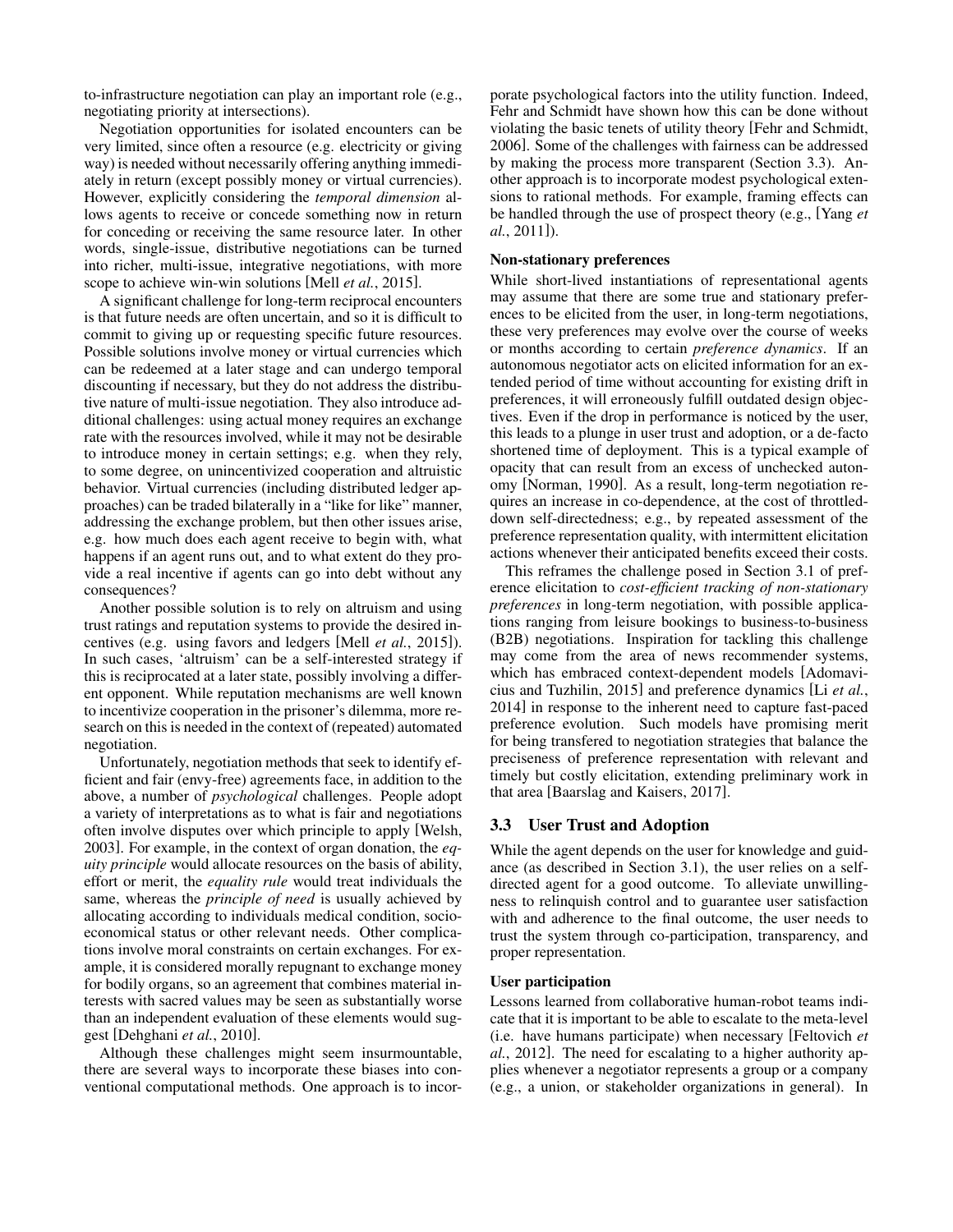to-infrastructure negotiation can play an important role (e.g., negotiating priority at intersections).

Negotiation opportunities for isolated encounters can be very limited, since often a resource (e.g. electricity or giving way) is needed without necessarily offering anything immediately in return (except possibly money or virtual currencies). However, explicitly considering the *temporal dimension* allows agents to receive or concede something now in return for conceding or receiving the same resource later. In other words, single-issue, distributive negotiations can be turned into richer, multi-issue, integrative negotiations, with more scope to achieve win-win solutions [Mell *et al.*, 2015].

A significant challenge for long-term reciprocal encounters is that future needs are often uncertain, and so it is difficult to commit to giving up or requesting specific future resources. Possible solutions involve money or virtual currencies which can be redeemed at a later stage and can undergo temporal discounting if necessary, but they do not address the distributive nature of multi-issue negotiation. They also introduce additional challenges: using actual money requires an exchange rate with the resources involved, while it may not be desirable to introduce money in certain settings; e.g. when they rely, to some degree, on unincentivized cooperation and altruistic behavior. Virtual currencies (including distributed ledger approaches) can be traded bilaterally in a "like for like" manner, addressing the exchange problem, but then other issues arise, e.g. how much does each agent receive to begin with, what happens if an agent runs out, and to what extent do they provide a real incentive if agents can go into debt without any consequences?

Another possible solution is to rely on altruism and using trust ratings and reputation systems to provide the desired incentives (e.g. using favors and ledgers [Mell *et al.*, 2015]). In such cases, 'altruism' can be a self-interested strategy if this is reciprocated at a later state, possibly involving a different opponent. While reputation mechanisms are well known to incentivize cooperation in the prisoner's dilemma, more research on this is needed in the context of (repeated) automated negotiation.

Unfortunately, negotiation methods that seek to identify efficient and fair (envy-free) agreements face, in addition to the above, a number of *psychological* challenges. People adopt a variety of interpretations as to what is fair and negotiations often involve disputes over which principle to apply [Welsh, 2003]. For example, in the context of organ donation, the *equity principle* would allocate resources on the basis of ability, effort or merit, the *equality rule* would treat individuals the same, whereas the *principle of need* is usually achieved by allocating according to individuals medical condition, socioeconomical status or other relevant needs. Other complications involve moral constraints on certain exchanges. For example, it is considered morally repugnant to exchange money for bodily organs, so an agreement that combines material interests with sacred values may be seen as substantially worse than an independent evaluation of these elements would suggest [Dehghani *et al.*, 2010].

Although these challenges might seem insurmountable, there are several ways to incorporate these biases into conventional computational methods. One approach is to incorporate psychological factors into the utility function. Indeed, Fehr and Schmidt have shown how this can be done without violating the basic tenets of utility theory [Fehr and Schmidt, 2006]. Some of the challenges with fairness can be addressed by making the process more transparent (Section 3.3). Another approach is to incorporate modest psychological extensions to rational methods. For example, framing effects can be handled through the use of prospect theory (e.g., [Yang *et al.*, 2011]).

#### Non-stationary preferences

While short-lived instantiations of representational agents may assume that there are some true and stationary preferences to be elicited from the user, in long-term negotiations, these very preferences may evolve over the course of weeks or months according to certain *preference dynamics*. If an autonomous negotiator acts on elicited information for an extended period of time without accounting for existing drift in preferences, it will erroneously fulfill outdated design objectives. Even if the drop in performance is noticed by the user, this leads to a plunge in user trust and adoption, or a de-facto shortened time of deployment. This is a typical example of opacity that can result from an excess of unchecked autonomy [Norman, 1990]. As a result, long-term negotiation requires an increase in co-dependence, at the cost of throttleddown self-directedness; e.g., by repeated assessment of the preference representation quality, with intermittent elicitation actions whenever their anticipated benefits exceed their costs.

This reframes the challenge posed in Section 3.1 of preference elicitation to *cost-efficient tracking of non-stationary preferences* in long-term negotiation, with possible applications ranging from leisure bookings to business-to-business (B2B) negotiations. Inspiration for tackling this challenge may come from the area of news recommender systems, which has embraced context-dependent models [Adomavicius and Tuzhilin, 2015] and preference dynamics [Li *et al.*, 2014] in response to the inherent need to capture fast-paced preference evolution. Such models have promising merit for being transfered to negotiation strategies that balance the preciseness of preference representation with relevant and timely but costly elicitation, extending preliminary work in that area [Baarslag and Kaisers, 2017].

#### 3.3 User Trust and Adoption

While the agent depends on the user for knowledge and guidance (as described in Section 3.1), the user relies on a selfdirected agent for a good outcome. To alleviate unwillingness to relinquish control and to guarantee user satisfaction with and adherence to the final outcome, the user needs to trust the system through co-participation, transparency, and proper representation.

#### User participation

Lessons learned from collaborative human-robot teams indicate that it is important to be able to escalate to the meta-level (i.e. have humans participate) when necessary [Feltovich *et al.*, 2012]. The need for escalating to a higher authority applies whenever a negotiator represents a group or a company (e.g., a union, or stakeholder organizations in general). In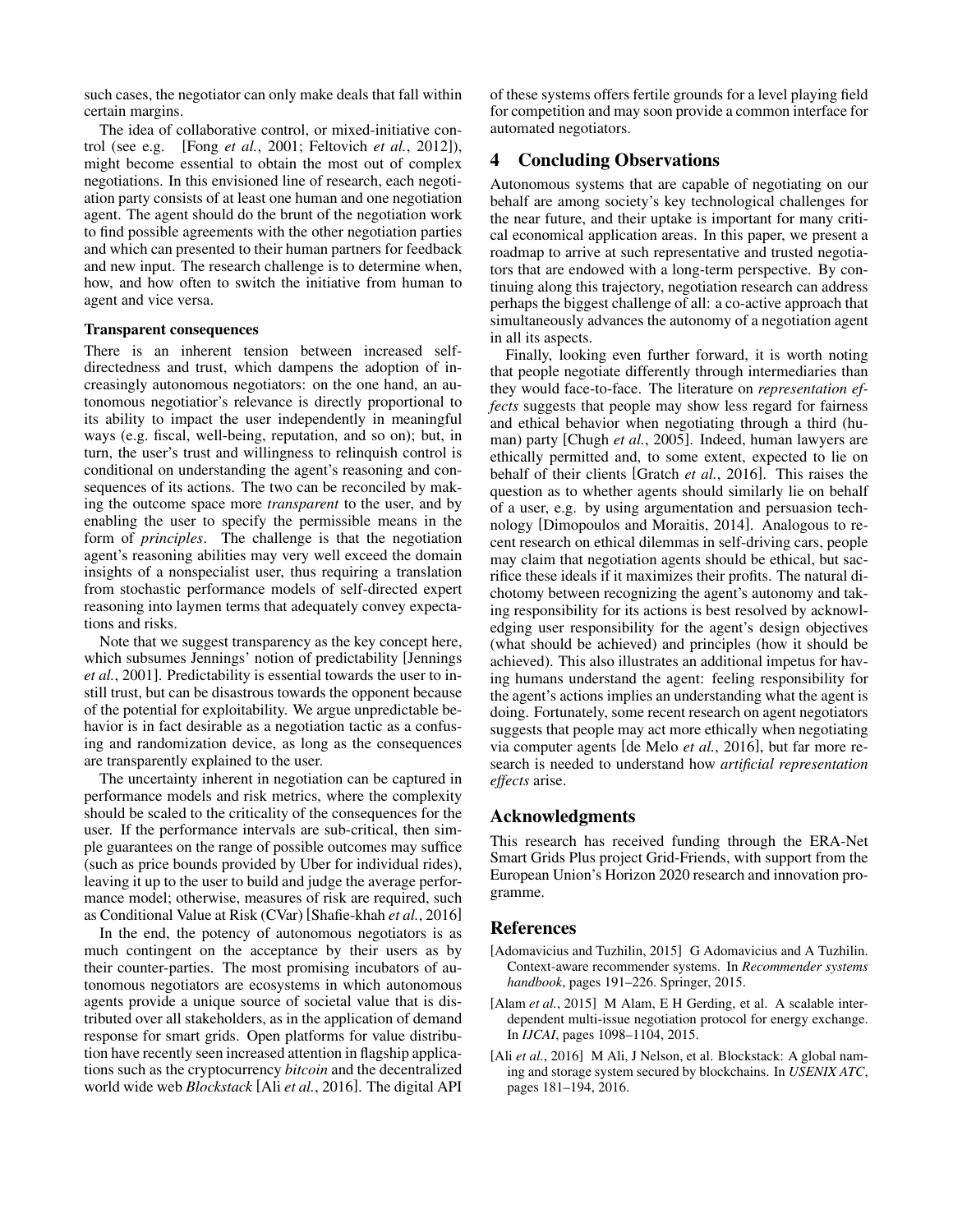such cases, the negotiator can only make deals that fall within certain margins.

The idea of collaborative control, or mixed-initiative control (see e.g. [Fong *et al.*, 2001; Feltovich *et al.*, 2012]), might become essential to obtain the most out of complex negotiations. In this envisioned line of research, each negotiation party consists of at least one human and one negotiation agent. The agent should do the brunt of the negotiation work to find possible agreements with the other negotiation parties and which can presented to their human partners for feedback and new input. The research challenge is to determine when, how, and how often to switch the initiative from human to agent and vice versa.

#### Transparent consequences

There is an inherent tension between increased selfdirectedness and trust, which dampens the adoption of increasingly autonomous negotiators: on the one hand, an autonomous negotiatior's relevance is directly proportional to its ability to impact the user independently in meaningful ways (e.g. fiscal, well-being, reputation, and so on); but, in turn, the user's trust and willingness to relinquish control is conditional on understanding the agent's reasoning and consequences of its actions. The two can be reconciled by making the outcome space more *transparent* to the user, and by enabling the user to specify the permissible means in the form of *principles*. The challenge is that the negotiation agent's reasoning abilities may very well exceed the domain insights of a nonspecialist user, thus requiring a translation from stochastic performance models of self-directed expert reasoning into laymen terms that adequately convey expectations and risks.

Note that we suggest transparency as the key concept here, which subsumes Jennings' notion of predictability [Jennings *et al.*, 2001]. Predictability is essential towards the user to instill trust, but can be disastrous towards the opponent because of the potential for exploitability. We argue unpredictable behavior is in fact desirable as a negotiation tactic as a confusing and randomization device, as long as the consequences are transparently explained to the user.

The uncertainty inherent in negotiation can be captured in performance models and risk metrics, where the complexity should be scaled to the criticality of the consequences for the user. If the performance intervals are sub-critical, then simple guarantees on the range of possible outcomes may suffice (such as price bounds provided by Uber for individual rides), leaving it up to the user to build and judge the average performance model; otherwise, measures of risk are required, such as Conditional Value at Risk (CVar) [Shafie-khah *et al.*, 2016]

In the end, the potency of autonomous negotiators is as much contingent on the acceptance by their users as by their counter-parties. The most promising incubators of autonomous negotiators are ecosystems in which autonomous agents provide a unique source of societal value that is distributed over all stakeholders, as in the application of demand response for smart grids. Open platforms for value distribution have recently seen increased attention in flagship applications such as the cryptocurrency *bitcoin* and the decentralized world wide web *Blockstack* [Ali *et al.*, 2016]. The digital API of these systems offers fertile grounds for a level playing field for competition and may soon provide a common interface for automated negotiators.

### 4 Concluding Observations

Autonomous systems that are capable of negotiating on our behalf are among society's key technological challenges for the near future, and their uptake is important for many critical economical application areas. In this paper, we present a roadmap to arrive at such representative and trusted negotiators that are endowed with a long-term perspective. By continuing along this trajectory, negotiation research can address perhaps the biggest challenge of all: a co-active approach that simultaneously advances the autonomy of a negotiation agent in all its aspects.

Finally, looking even further forward, it is worth noting that people negotiate differently through intermediaries than they would face-to-face. The literature on *representation effects* suggests that people may show less regard for fairness and ethical behavior when negotiating through a third (human) party [Chugh *et al.*, 2005]. Indeed, human lawyers are ethically permitted and, to some extent, expected to lie on behalf of their clients [Gratch *et al.*, 2016]. This raises the question as to whether agents should similarly lie on behalf of a user, e.g. by using argumentation and persuasion technology [Dimopoulos and Moraitis, 2014]. Analogous to recent research on ethical dilemmas in self-driving cars, people may claim that negotiation agents should be ethical, but sacrifice these ideals if it maximizes their profits. The natural dichotomy between recognizing the agent's autonomy and taking responsibility for its actions is best resolved by acknowledging user responsibility for the agent's design objectives (what should be achieved) and principles (how it should be achieved). This also illustrates an additional impetus for having humans understand the agent: feeling responsibility for the agent's actions implies an understanding what the agent is doing. Fortunately, some recent research on agent negotiators suggests that people may act more ethically when negotiating via computer agents [de Melo *et al.*, 2016], but far more research is needed to understand how *artificial representation effects* arise.

### Acknowledgments

This research has received funding through the ERA-Net Smart Grids Plus project Grid-Friends, with support from the European Union's Horizon 2020 research and innovation programme.

#### References

- [Adomavicius and Tuzhilin, 2015] G Adomavicius and A Tuzhilin. Context-aware recommender systems. In *Recommender systems handbook*, pages 191–226. Springer, 2015.
- [Alam *et al.*, 2015] M Alam, E H Gerding, et al. A scalable interdependent multi-issue negotiation protocol for energy exchange. In *IJCAI*, pages 1098–1104, 2015.
- [Ali *et al.*, 2016] M Ali, J Nelson, et al. Blockstack: A global naming and storage system secured by blockchains. In *USENIX ATC*, pages 181–194, 2016.